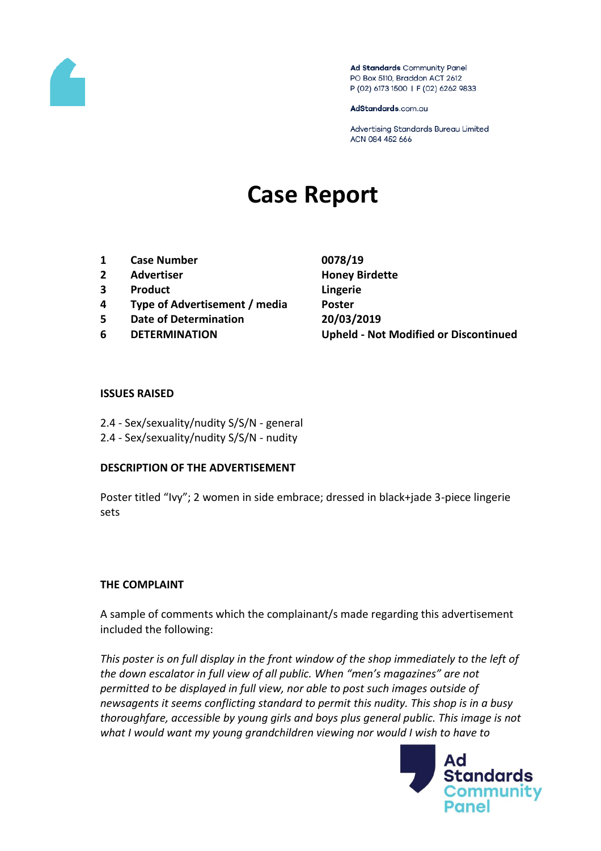

Ad Standards Community Panel PO Box 5110, Braddon ACT 2612 P (02) 6173 1500 | F (02) 6262 9833

AdStandards.com.au

Advertising Standards Bureau Limited ACN 084 452 666

# **Case Report**

- **1 Case Number 0078/19**
- **2 Advertiser Honey Birdette**
- **3 Product Lingerie**
- **4 Type of Advertisement / media Poster**
- **5 Date of Determination 20/03/2019**
- 

**6 DETERMINATION Upheld - Not Modified or Discontinued**

#### **ISSUES RAISED**

- 2.4 Sex/sexuality/nudity S/S/N general
- 2.4 Sex/sexuality/nudity S/S/N nudity

### **DESCRIPTION OF THE ADVERTISEMENT**

Poster titled "Ivy"; 2 women in side embrace; dressed in black+jade 3-piece lingerie sets

### **THE COMPLAINT**

A sample of comments which the complainant/s made regarding this advertisement included the following:

*This poster is on full display in the front window of the shop immediately to the left of the down escalator in full view of all public. When "men's magazines" are not permitted to be displayed in full view, nor able to post such images outside of newsagents it seems conflicting standard to permit this nudity. This shop is in a busy thoroughfare, accessible by young girls and boys plus general public. This image is not what I would want my young grandchildren viewing nor would I wish to have to* 

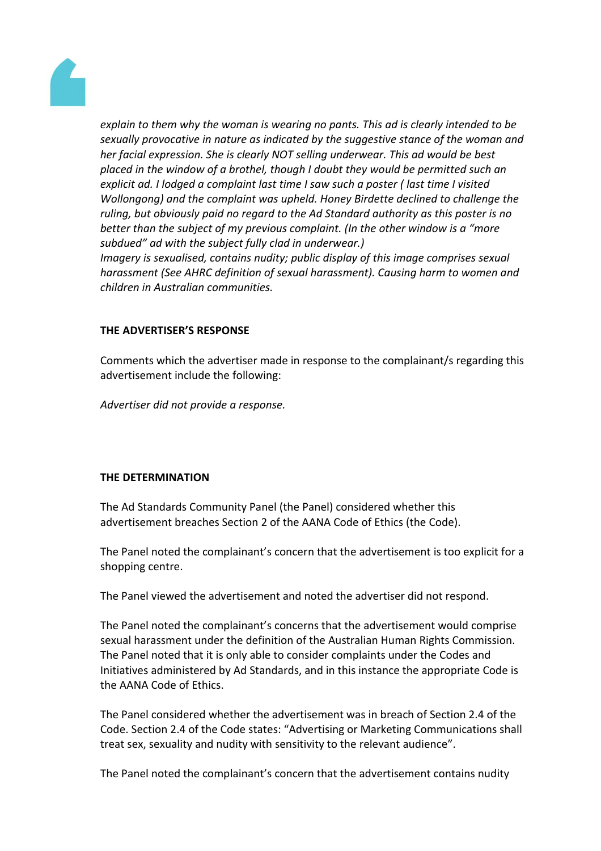

*explain to them why the woman is wearing no pants. This ad is clearly intended to be sexually provocative in nature as indicated by the suggestive stance of the woman and her facial expression. She is clearly NOT selling underwear. This ad would be best placed in the window of a brothel, though I doubt they would be permitted such an explicit ad. I lodged a complaint last time I saw such a poster ( last time I visited Wollongong) and the complaint was upheld. Honey Birdette declined to challenge the ruling, but obviously paid no regard to the Ad Standard authority as this poster is no better than the subject of my previous complaint. (In the other window is a "more subdued" ad with the subject fully clad in underwear.)*

*Imagery is sexualised, contains nudity; public display of this image comprises sexual harassment (See AHRC definition of sexual harassment). Causing harm to women and children in Australian communities.*

# **THE ADVERTISER'S RESPONSE**

Comments which the advertiser made in response to the complainant/s regarding this advertisement include the following:

*Advertiser did not provide a response.*

### **THE DETERMINATION**

The Ad Standards Community Panel (the Panel) considered whether this advertisement breaches Section 2 of the AANA Code of Ethics (the Code).

The Panel noted the complainant's concern that the advertisement is too explicit for a shopping centre.

The Panel viewed the advertisement and noted the advertiser did not respond.

The Panel noted the complainant's concerns that the advertisement would comprise sexual harassment under the definition of the Australian Human Rights Commission. The Panel noted that it is only able to consider complaints under the Codes and Initiatives administered by Ad Standards, and in this instance the appropriate Code is the AANA Code of Ethics.

The Panel considered whether the advertisement was in breach of Section 2.4 of the Code. Section 2.4 of the Code states: "Advertising or Marketing Communications shall treat sex, sexuality and nudity with sensitivity to the relevant audience".

The Panel noted the complainant's concern that the advertisement contains nudity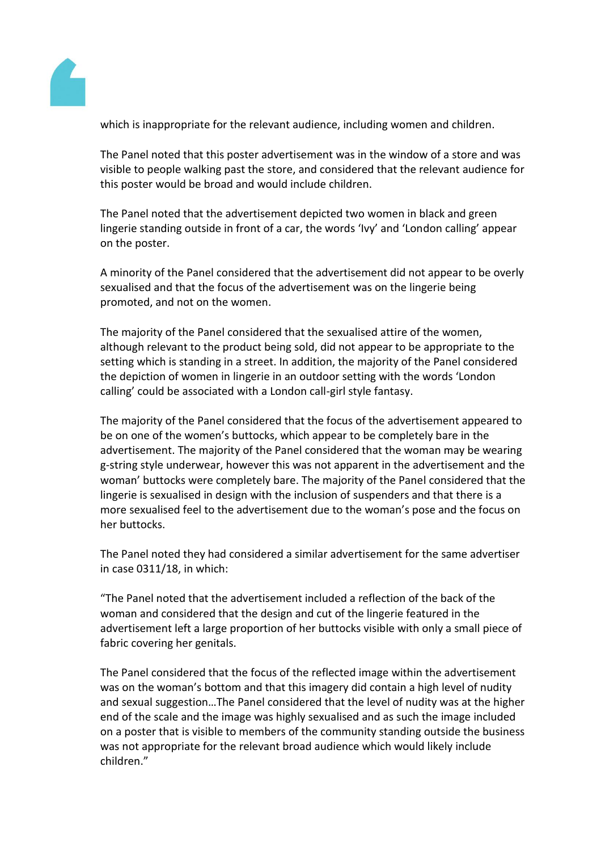

which is inappropriate for the relevant audience, including women and children.

The Panel noted that this poster advertisement was in the window of a store and was visible to people walking past the store, and considered that the relevant audience for this poster would be broad and would include children.

The Panel noted that the advertisement depicted two women in black and green lingerie standing outside in front of a car, the words 'Ivy' and 'London calling' appear on the poster.

A minority of the Panel considered that the advertisement did not appear to be overly sexualised and that the focus of the advertisement was on the lingerie being promoted, and not on the women.

The majority of the Panel considered that the sexualised attire of the women, although relevant to the product being sold, did not appear to be appropriate to the setting which is standing in a street. In addition, the majority of the Panel considered the depiction of women in lingerie in an outdoor setting with the words 'London calling' could be associated with a London call-girl style fantasy.

The majority of the Panel considered that the focus of the advertisement appeared to be on one of the women's buttocks, which appear to be completely bare in the advertisement. The majority of the Panel considered that the woman may be wearing g-string style underwear, however this was not apparent in the advertisement and the woman' buttocks were completely bare. The majority of the Panel considered that the lingerie is sexualised in design with the inclusion of suspenders and that there is a more sexualised feel to the advertisement due to the woman's pose and the focus on her buttocks.

The Panel noted they had considered a similar advertisement for the same advertiser in case 0311/18, in which:

"The Panel noted that the advertisement included a reflection of the back of the woman and considered that the design and cut of the lingerie featured in the advertisement left a large proportion of her buttocks visible with only a small piece of fabric covering her genitals.

The Panel considered that the focus of the reflected image within the advertisement was on the woman's bottom and that this imagery did contain a high level of nudity and sexual suggestion…The Panel considered that the level of nudity was at the higher end of the scale and the image was highly sexualised and as such the image included on a poster that is visible to members of the community standing outside the business was not appropriate for the relevant broad audience which would likely include children."